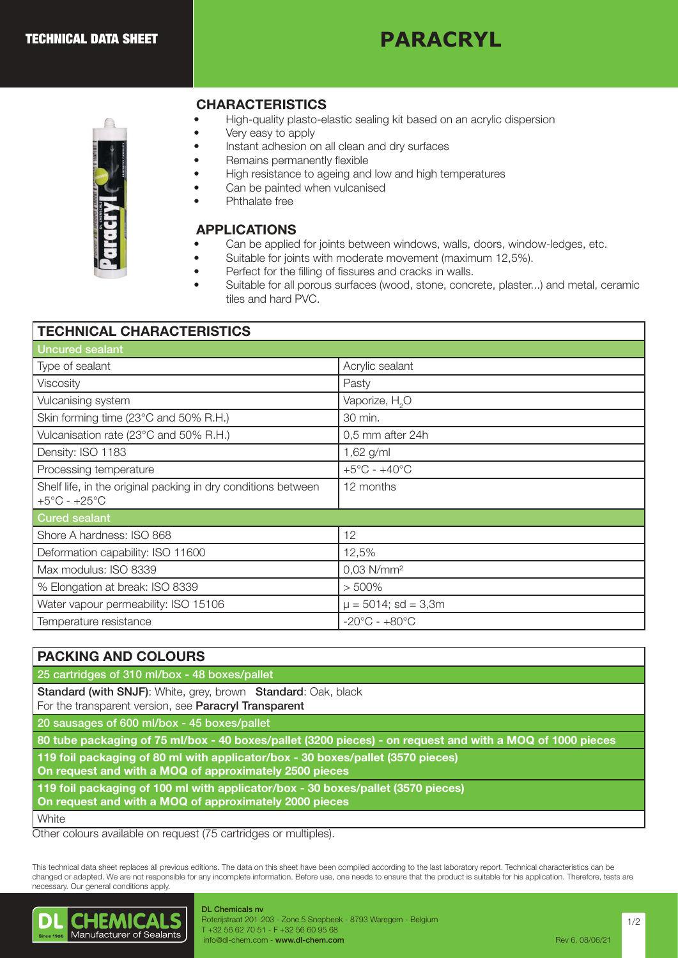# **PARACRYL**



## CHARACTERISTICS

- High-quality plasto-elastic sealing kit based on an acrylic dispersion
- Very easy to apply
- Instant adhesion on all clean and dry surfaces
- Remains permanently flexible
- High resistance to ageing and low and high temperatures
- Can be painted when vulcanised
- Phthalate free

### APPLICATIONS

- Can be applied for joints between windows, walls, doors, window-ledges, etc.
- Suitable for joints with moderate movement (maximum 12,5%).
	- Perfect for the filling of fissures and cracks in walls.
	- Suitable for all porous surfaces (wood, stone, concrete, plaster...) and metal, ceramic tiles and hard PVC.

| <b>TECHNICAL CHARACTERISTICS</b>                                                                  |                                   |
|---------------------------------------------------------------------------------------------------|-----------------------------------|
| <b>Uncured sealant</b>                                                                            |                                   |
| Type of sealant                                                                                   | Acrylic sealant                   |
| Viscosity                                                                                         | Pasty                             |
| Vulcanising system                                                                                | Vaporize, H <sub>2</sub> O        |
| Skin forming time (23°C and 50% R.H.)                                                             | 30 min.                           |
| Vulcanisation rate (23°C and 50% R.H.)                                                            | 0,5 mm after 24h                  |
| Density: ISO 1183                                                                                 | 1,62 g/ml                         |
| Processing temperature                                                                            | $+5^{\circ}$ C - $+40^{\circ}$ C  |
| Shelf life, in the original packing in dry conditions between<br>$+5^{\circ}$ C - $+25^{\circ}$ C | 12 months                         |
| <b>Cured sealant</b>                                                                              |                                   |
| Shore A hardness: ISO 868                                                                         | 12                                |
| Deformation capability: ISO 11600                                                                 | 12,5%                             |
| Max modulus: ISO 8339                                                                             | $0,03$ N/mm <sup>2</sup>          |
| % Elongation at break: ISO 8339                                                                   | $> 500\%$                         |
| Water vapour permeability: ISO 15106                                                              | $\mu = 5014$ ; sd = 3,3m          |
| Temperature resistance                                                                            | $-20^{\circ}$ C - $+80^{\circ}$ C |

# PACKING AND COLOURS 25 cartridges of 310 ml/box - 48 boxes/pallet Standard (with SNJF): White, grey, brown Standard: Oak, black For the transparent version, see Paracryl Transparent 20 sausages of 600 ml/box - 45 boxes/pallet 80 tube packaging of 75 ml/box - 40 boxes/pallet (3200 pieces) - on request and with a MOQ of 1000 pieces 119 foil packaging of 80 ml with applicator/box - 30 boxes/pallet (3570 pieces) On request and with a MOQ of approximately 2500 pieces 119 foil packaging of 100 ml with applicator/box - 30 boxes/pallet (3570 pieces) On request and with a MOQ of approximately 2000 pieces **White**

Other colours available on request (75 cartridges or multiples).

This technical data sheet replaces all previous editions. The data on this sheet have been compiled according to the last laboratory report. Technical characteristics can be changed or adapted. We are not responsible for any incomplete information. Before use, one needs to ensure that the product is suitable for his application. Therefore, tests are necessary. Our general conditions apply.



#### DL Chemicals nv Roterijstraat 201-203 - Zone 5 Snepbeek - 8793 Waregem - Belgium T +32 56 62 70 51 - F +32 56 60 95 68 info@dl-chem.com - www.dl-chem.com **Rev 6, 08/06/21** and 2006/21 and 2006/21 and 2006/21 and 2006/21 and 2006/21